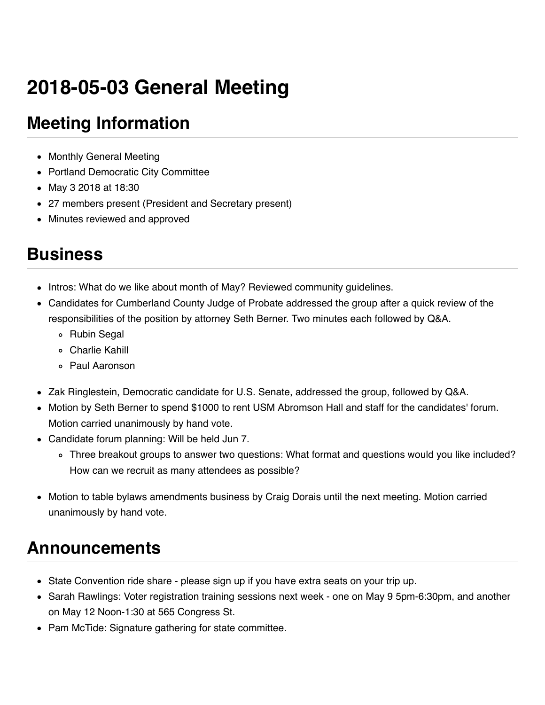# **2018-05-03 General Meeting**

# **Meeting Information**

- Monthly General Meeting
- Portland Democratic City Committee
- May 3 2018 at 18:30
- 27 members present (President and Secretary present)
- Minutes reviewed and approved

### **Business**

- Intros: What do we like about month of May? Reviewed community guidelines.
- Candidates for Cumberland County Judge of Probate addressed the group after a quick review of the responsibilities of the position by attorney Seth Berner. Two minutes each followed by Q&A.
	- Rubin Segal
	- Charlie Kahill
	- Paul Aaronson
- Zak Ringlestein, Democratic candidate for U.S. Senate, addressed the group, followed by Q&A.
- Motion by Seth Berner to spend \$1000 to rent USM Abromson Hall and staff for the candidates' forum. Motion carried unanimously by hand vote.
- Candidate forum planning: Will be held Jun 7.
	- Three breakout groups to answer two questions: What format and questions would you like included? How can we recruit as many attendees as possible?
- Motion to table bylaws amendments business by Craig Dorais until the next meeting. Motion carried unanimously by hand vote.

# **Announcements**

- State Convention ride share please sign up if you have extra seats on your trip up.
- Sarah Rawlings: Voter registration training sessions next week one on May 9 5pm-6:30pm, and another on May 12 Noon-1:30 at 565 Congress St.
- Pam McTide: Signature gathering for state committee.